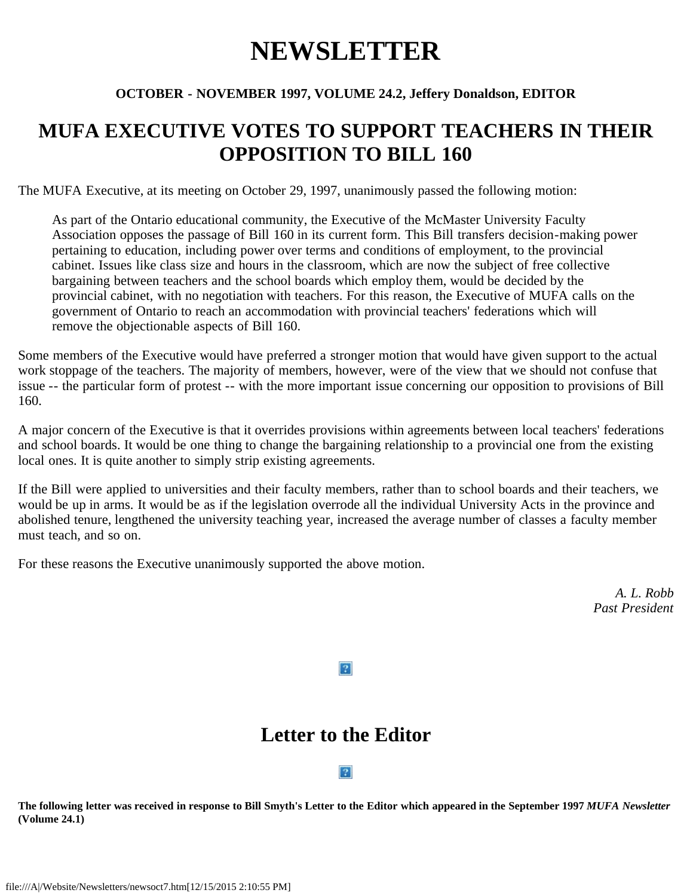# **NEWSLETTER**

### **OCTOBER - NOVEMBER 1997, VOLUME 24.2, Jeffery Donaldson, EDITOR**

# **MUFA EXECUTIVE VOTES TO SUPPORT TEACHERS IN THEIR OPPOSITION TO BILL 160**

The MUFA Executive, at its meeting on October 29, 1997, unanimously passed the following motion:

As part of the Ontario educational community, the Executive of the McMaster University Faculty Association opposes the passage of Bill 160 in its current form. This Bill transfers decision-making power pertaining to education, including power over terms and conditions of employment, to the provincial cabinet. Issues like class size and hours in the classroom, which are now the subject of free collective bargaining between teachers and the school boards which employ them, would be decided by the provincial cabinet, with no negotiation with teachers. For this reason, the Executive of MUFA calls on the government of Ontario to reach an accommodation with provincial teachers' federations which will remove the objectionable aspects of Bill 160.

Some members of the Executive would have preferred a stronger motion that would have given support to the actual work stoppage of the teachers. The majority of members, however, were of the view that we should not confuse that issue -- the particular form of protest -- with the more important issue concerning our opposition to provisions of Bill 160.

A major concern of the Executive is that it overrides provisions within agreements between local teachers' federations and school boards. It would be one thing to change the bargaining relationship to a provincial one from the existing local ones. It is quite another to simply strip existing agreements.

If the Bill were applied to universities and their faculty members, rather than to school boards and their teachers, we would be up in arms. It would be as if the legislation overrode all the individual University Acts in the province and abolished tenure, lengthened the university teaching year, increased the average number of classes a faculty member must teach, and so on.

For these reasons the Executive unanimously supported the above motion.

*A. L. Robb Past President*

### $\boxed{?}$

# **Letter to the Editor**

### $|2|$

**The following letter was received in response to Bill Smyth's Letter to the Editor which appeared in the September 1997** *MUFA Newsletter* **(Volume 24.1)**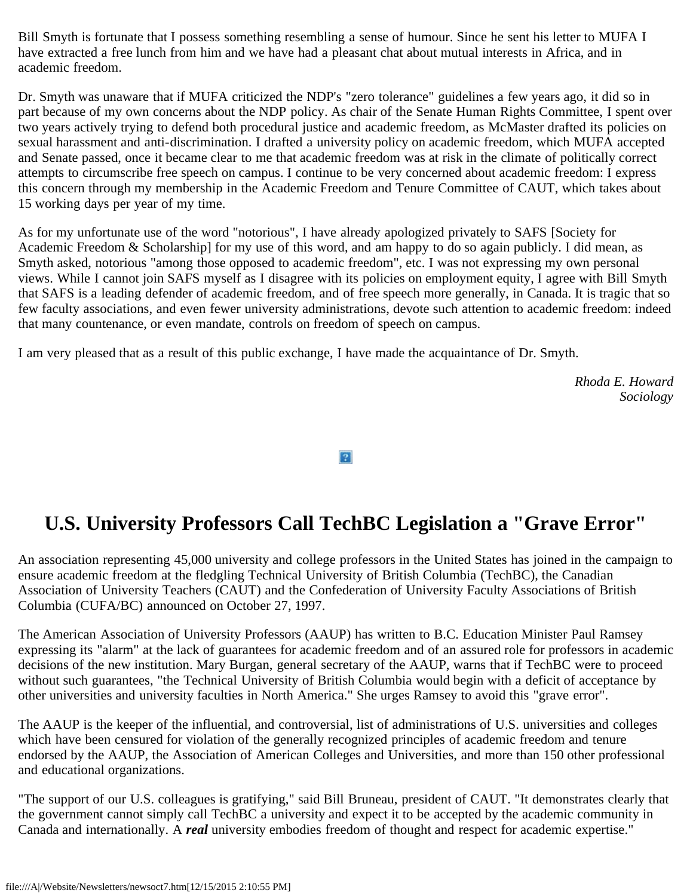Bill Smyth is fortunate that I possess something resembling a sense of humour. Since he sent his letter to MUFA I have extracted a free lunch from him and we have had a pleasant chat about mutual interests in Africa, and in academic freedom.

Dr. Smyth was unaware that if MUFA criticized the NDP's "zero tolerance" guidelines a few years ago, it did so in part because of my own concerns about the NDP policy. As chair of the Senate Human Rights Committee, I spent over two years actively trying to defend both procedural justice and academic freedom, as McMaster drafted its policies on sexual harassment and anti-discrimination. I drafted a university policy on academic freedom, which MUFA accepted and Senate passed, once it became clear to me that academic freedom was at risk in the climate of politically correct attempts to circumscribe free speech on campus. I continue to be very concerned about academic freedom: I express this concern through my membership in the Academic Freedom and Tenure Committee of CAUT, which takes about 15 working days per year of my time.

As for my unfortunate use of the word "notorious", I have already apologized privately to SAFS [Society for Academic Freedom & Scholarship] for my use of this word, and am happy to do so again publicly. I did mean, as Smyth asked, notorious "among those opposed to academic freedom", etc. I was not expressing my own personal views. While I cannot join SAFS myself as I disagree with its policies on employment equity, I agree with Bill Smyth that SAFS is a leading defender of academic freedom, and of free speech more generally, in Canada. It is tragic that so few faculty associations, and even fewer university administrations, devote such attention to academic freedom: indeed that many countenance, or even mandate, controls on freedom of speech on campus.

I am very pleased that as a result of this public exchange, I have made the acquaintance of Dr. Smyth.

*Rhoda E. Howard Sociology*

 $|2|$ 

# **U.S. University Professors Call TechBC Legislation a "Grave Error"**

An association representing 45,000 university and college professors in the United States has joined in the campaign to ensure academic freedom at the fledgling Technical University of British Columbia (TechBC), the Canadian Association of University Teachers (CAUT) and the Confederation of University Faculty Associations of British Columbia (CUFA/BC) announced on October 27, 1997.

The American Association of University Professors (AAUP) has written to B.C. Education Minister Paul Ramsey expressing its "alarm" at the lack of guarantees for academic freedom and of an assured role for professors in academic decisions of the new institution. Mary Burgan, general secretary of the AAUP, warns that if TechBC were to proceed without such guarantees, "the Technical University of British Columbia would begin with a deficit of acceptance by other universities and university faculties in North America." She urges Ramsey to avoid this "grave error".

The AAUP is the keeper of the influential, and controversial, list of administrations of U.S. universities and colleges which have been censured for violation of the generally recognized principles of academic freedom and tenure endorsed by the AAUP, the Association of American Colleges and Universities, and more than 150 other professional and educational organizations.

"The support of our U.S. colleagues is gratifying," said Bill Bruneau, president of CAUT. "It demonstrates clearly that the government cannot simply call TechBC a university and expect it to be accepted by the academic community in Canada and internationally. A *real* university embodies freedom of thought and respect for academic expertise."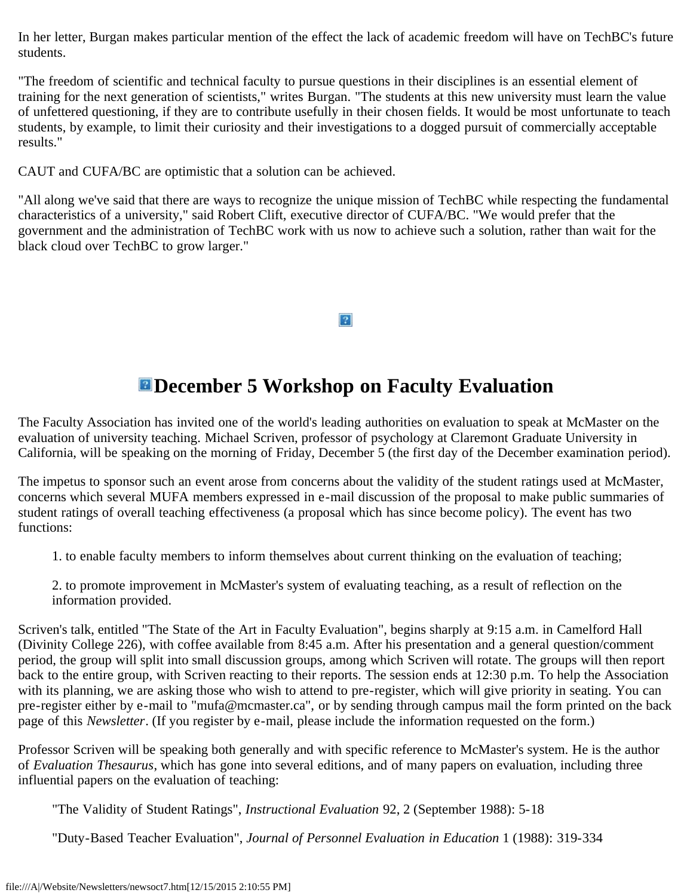In her letter, Burgan makes particular mention of the effect the lack of academic freedom will have on TechBC's future students.

"The freedom of scientific and technical faculty to pursue questions in their disciplines is an essential element of training for the next generation of scientists," writes Burgan. "The students at this new university must learn the value of unfettered questioning, if they are to contribute usefully in their chosen fields. It would be most unfortunate to teach students, by example, to limit their curiosity and their investigations to a dogged pursuit of commercially acceptable results."

CAUT and CUFA/BC are optimistic that a solution can be achieved.

"All along we've said that there are ways to recognize the unique mission of TechBC while respecting the fundamental characteristics of a university," said Robert Clift, executive director of CUFA/BC. "We would prefer that the government and the administration of TechBC work with us now to achieve such a solution, rather than wait for the black cloud over TechBC to grow larger."

### $|2|$

# **EDecember 5 Workshop on Faculty Evaluation**

The Faculty Association has invited one of the world's leading authorities on evaluation to speak at McMaster on the evaluation of university teaching. Michael Scriven, professor of psychology at Claremont Graduate University in California, will be speaking on the morning of Friday, December 5 (the first day of the December examination period).

The impetus to sponsor such an event arose from concerns about the validity of the student ratings used at McMaster, concerns which several MUFA members expressed in e-mail discussion of the proposal to make public summaries of student ratings of overall teaching effectiveness (a proposal which has since become policy). The event has two functions:

1. to enable faculty members to inform themselves about current thinking on the evaluation of teaching;

2. to promote improvement in McMaster's system of evaluating teaching, as a result of reflection on the information provided.

Scriven's talk, entitled "The State of the Art in Faculty Evaluation", begins sharply at 9:15 a.m. in Camelford Hall (Divinity College 226), with coffee available from 8:45 a.m. After his presentation and a general question/comment period, the group will split into small discussion groups, among which Scriven will rotate. The groups will then report back to the entire group, with Scriven reacting to their reports. The session ends at 12:30 p.m. To help the Association with its planning, we are asking those who wish to attend to pre-register, which will give priority in seating. You can pre-register either by e-mail to "mufa@mcmaster.ca", or by sending through campus mail the form printed on the back page of this *Newsletter*. (If you register by e-mail, please include the information requested on the form.)

Professor Scriven will be speaking both generally and with specific reference to McMaster's system. He is the author of *Evaluation Thesaurus*, which has gone into several editions, and of many papers on evaluation, including three influential papers on the evaluation of teaching:

"The Validity of Student Ratings", *Instructional Evaluation* 92, 2 (September 1988): 5-18

"Duty-Based Teacher Evaluation", *Journal of Personnel Evaluation in Education* 1 (1988): 319-334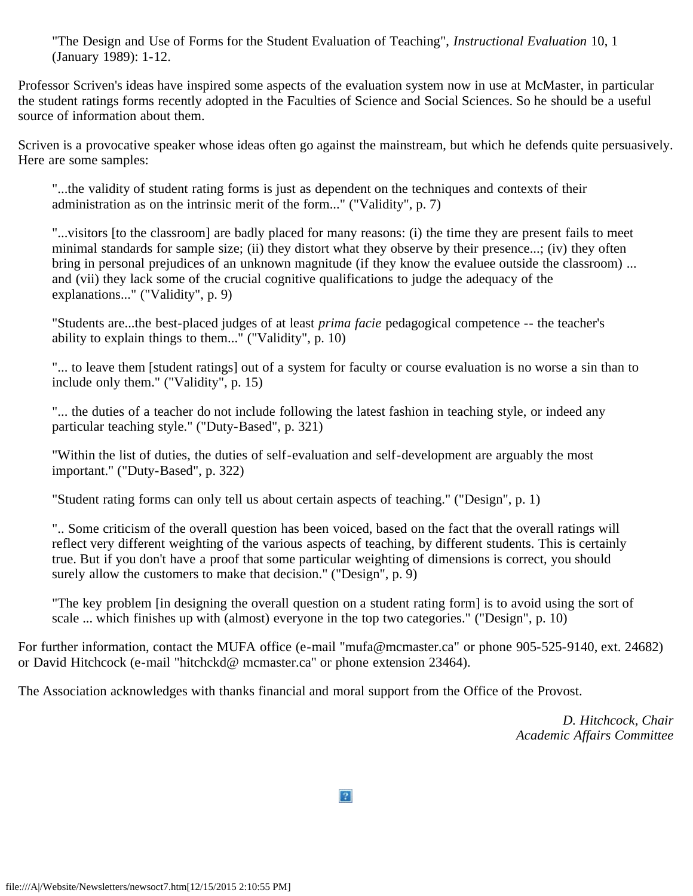"The Design and Use of Forms for the Student Evaluation of Teaching", *Instructional Evaluation* 10, 1 (January 1989): 1-12.

Professor Scriven's ideas have inspired some aspects of the evaluation system now in use at McMaster, in particular the student ratings forms recently adopted in the Faculties of Science and Social Sciences. So he should be a useful source of information about them.

Scriven is a provocative speaker whose ideas often go against the mainstream, but which he defends quite persuasively. Here are some samples:

"...the validity of student rating forms is just as dependent on the techniques and contexts of their administration as on the intrinsic merit of the form..." ("Validity", p. 7)

"...visitors [to the classroom] are badly placed for many reasons: (i) the time they are present fails to meet minimal standards for sample size; (ii) they distort what they observe by their presence...; (iv) they often bring in personal prejudices of an unknown magnitude (if they know the evaluee outside the classroom) ... and (vii) they lack some of the crucial cognitive qualifications to judge the adequacy of the explanations..." ("Validity", p. 9)

"Students are...the best-placed judges of at least *prima facie* pedagogical competence -- the teacher's ability to explain things to them..." ("Validity", p. 10)

"... to leave them [student ratings] out of a system for faculty or course evaluation is no worse a sin than to include only them." ("Validity", p. 15)

"... the duties of a teacher do not include following the latest fashion in teaching style, or indeed any particular teaching style." ("Duty-Based", p. 321)

"Within the list of duties, the duties of self-evaluation and self-development are arguably the most important." ("Duty-Based", p. 322)

"Student rating forms can only tell us about certain aspects of teaching." ("Design", p. 1)

".. Some criticism of the overall question has been voiced, based on the fact that the overall ratings will reflect very different weighting of the various aspects of teaching, by different students. This is certainly true. But if you don't have a proof that some particular weighting of dimensions is correct, you should surely allow the customers to make that decision." ("Design", p. 9)

"The key problem [in designing the overall question on a student rating form] is to avoid using the sort of scale ... which finishes up with (almost) everyone in the top two categories." ("Design", p. 10)

For further information, contact the MUFA office (e-mail "mufa@mcmaster.ca" or phone 905-525-9140, ext. 24682) or David Hitchcock (e-mail "hitchckd@ mcmaster.ca" or phone extension 23464).

The Association acknowledges with thanks financial and moral support from the Office of the Provost.

*D. Hitchcock, Chair Academic Affairs Committee*

 $\overline{?}$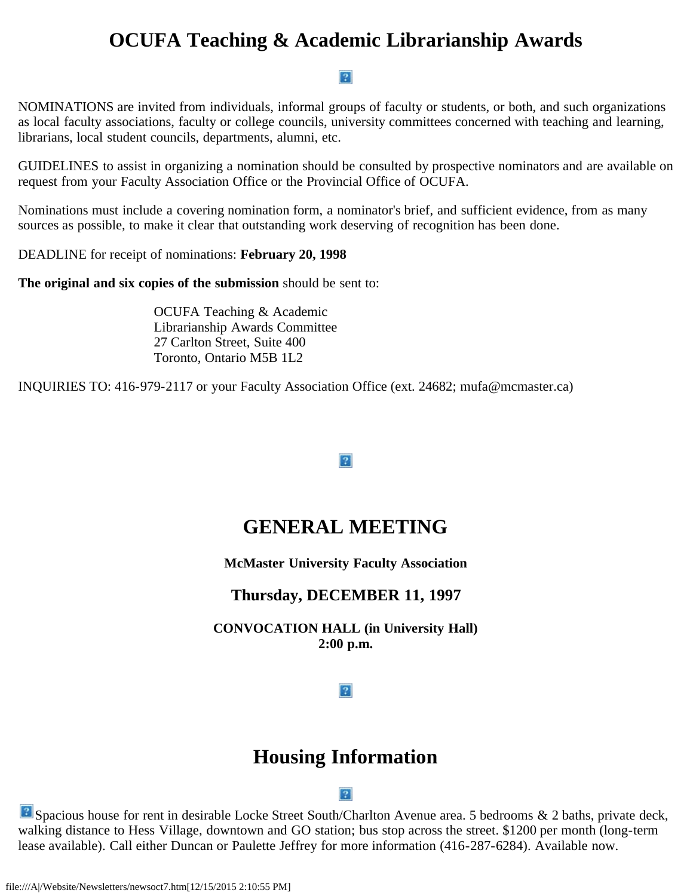# **OCUFA Teaching & Academic Librarianship Awards**

#### $\boxed{?}$

NOMINATIONS are invited from individuals, informal groups of faculty or students, or both, and such organizations as local faculty associations, faculty or college councils, university committees concerned with teaching and learning, librarians, local student councils, departments, alumni, etc.

GUIDELINES to assist in organizing a nomination should be consulted by prospective nominators and are available on request from your Faculty Association Office or the Provincial Office of OCUFA.

Nominations must include a covering nomination form, a nominator's brief, and sufficient evidence, from as many sources as possible, to make it clear that outstanding work deserving of recognition has been done.

DEADLINE for receipt of nominations: **February 20, 1998**

**The original and six copies of the submission** should be sent to:

OCUFA Teaching & Academic Librarianship Awards Committee 27 Carlton Street, Suite 400 Toronto, Ontario M5B 1L2

INQUIRIES TO: 416-979-2117 or your Faculty Association Office (ext. 24682; mufa@mcmaster.ca)

### $|2|$

# **GENERAL MEETING**

**McMaster University Faculty Association**

### **Thursday, DECEMBER 11, 1997**

**CONVOCATION HALL (in University Hall) 2:00 p.m.**

### $|2|$

# **Housing Information**

#### $|2|$

Spacious house for rent in desirable Locke Street South/Charlton Avenue area. 5 bedrooms & 2 baths, private deck, walking distance to Hess Village, downtown and GO station; bus stop across the street. \$1200 per month (long-term lease available). Call either Duncan or Paulette Jeffrey for more information (416-287-6284). Available now.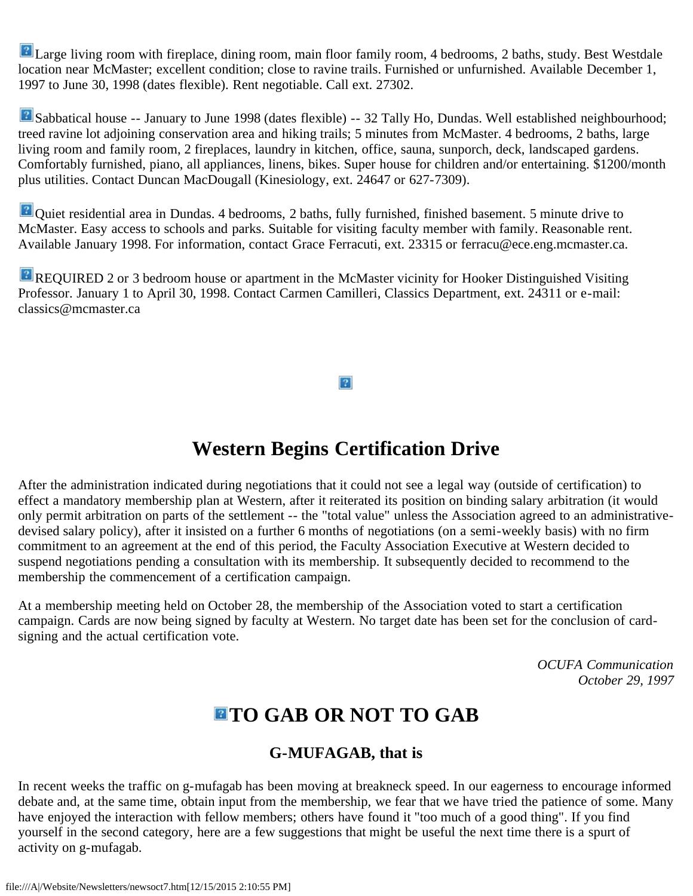**P** Large living room with fireplace, dining room, main floor family room, 4 bedrooms, 2 baths, study. Best Westdale location near McMaster; excellent condition; close to ravine trails. Furnished or unfurnished. Available December 1, 1997 to June 30, 1998 (dates flexible). Rent negotiable. Call ext. 27302.

Sabbatical house -- January to June 1998 (dates flexible) -- 32 Tally Ho, Dundas. Well established neighbourhood; treed ravine lot adjoining conservation area and hiking trails; 5 minutes from McMaster. 4 bedrooms, 2 baths, large living room and family room, 2 fireplaces, laundry in kitchen, office, sauna, sunporch, deck, landscaped gardens. Comfortably furnished, piano, all appliances, linens, bikes. Super house for children and/or entertaining. \$1200/month plus utilities. Contact Duncan MacDougall (Kinesiology, ext. 24647 or 627-7309).

**P** Quiet residential area in Dundas. 4 bedrooms, 2 baths, fully furnished, finished basement. 5 minute drive to McMaster. Easy access to schools and parks. Suitable for visiting faculty member with family. Reasonable rent. Available January 1998. For information, contact Grace Ferracuti, ext. 23315 or ferracu@ece.eng.mcmaster.ca.

REQUIRED 2 or 3 bedroom house or apartment in the McMaster vicinity for Hooker Distinguished Visiting Professor. January 1 to April 30, 1998. Contact Carmen Camilleri, Classics Department, ext. 24311 or e-mail: classics@mcmaster.ca

 $\overline{?}$ 

# **Western Begins Certification Drive**

After the administration indicated during negotiations that it could not see a legal way (outside of certification) to effect a mandatory membership plan at Western, after it reiterated its position on binding salary arbitration (it would only permit arbitration on parts of the settlement -- the "total value" unless the Association agreed to an administrativedevised salary policy), after it insisted on a further 6 months of negotiations (on a semi-weekly basis) with no firm commitment to an agreement at the end of this period, the Faculty Association Executive at Western decided to suspend negotiations pending a consultation with its membership. It subsequently decided to recommend to the membership the commencement of a certification campaign.

At a membership meeting held on October 28, the membership of the Association voted to start a certification campaign. Cards are now being signed by faculty at Western. No target date has been set for the conclusion of cardsigning and the actual certification vote.

> *OCUFA Communication October 29, 1997*

# **TO GAB OR NOT TO GAB**

### **G-MUFAGAB, that is**

In recent weeks the traffic on g-mufagab has been moving at breakneck speed. In our eagerness to encourage informed debate and, at the same time, obtain input from the membership, we fear that we have tried the patience of some. Many have enjoyed the interaction with fellow members; others have found it "too much of a good thing". If you find yourself in the second category, here are a few suggestions that might be useful the next time there is a spurt of activity on g-mufagab.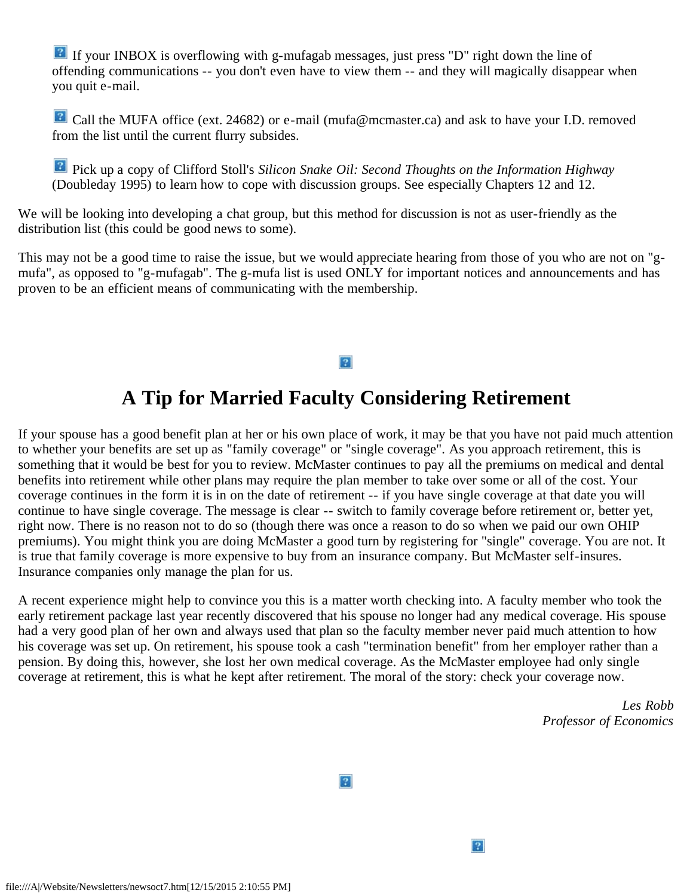If your INBOX is overflowing with g-mufagab messages, just press "D" right down the line of offending communications -- you don't even have to view them -- and they will magically disappear when you quit e-mail.

**P** Call the MUFA office (ext. 24682) or e-mail (mufa@mcmaster.ca) and ask to have your I.D. removed from the list until the current flurry subsides.

**Pick up a copy of Clifford Stoll's Silicon Snake Oil: Second Thoughts on the Information Highway** (Doubleday 1995) to learn how to cope with discussion groups. See especially Chapters 12 and 12.

We will be looking into developing a chat group, but this method for discussion is not as user-friendly as the distribution list (this could be good news to some).

This may not be a good time to raise the issue, but we would appreciate hearing from those of you who are not on "gmufa", as opposed to "g-mufagab". The g-mufa list is used ONLY for important notices and announcements and has proven to be an efficient means of communicating with the membership.

#### $|2|$

# **A Tip for Married Faculty Considering Retirement**

If your spouse has a good benefit plan at her or his own place of work, it may be that you have not paid much attention to whether your benefits are set up as "family coverage" or "single coverage". As you approach retirement, this is something that it would be best for you to review. McMaster continues to pay all the premiums on medical and dental benefits into retirement while other plans may require the plan member to take over some or all of the cost. Your coverage continues in the form it is in on the date of retirement -- if you have single coverage at that date you will continue to have single coverage. The message is clear -- switch to family coverage before retirement or, better yet, right now. There is no reason not to do so (though there was once a reason to do so when we paid our own OHIP premiums). You might think you are doing McMaster a good turn by registering for "single" coverage. You are not. It is true that family coverage is more expensive to buy from an insurance company. But McMaster self-insures. Insurance companies only manage the plan for us.

A recent experience might help to convince you this is a matter worth checking into. A faculty member who took the early retirement package last year recently discovered that his spouse no longer had any medical coverage. His spouse had a very good plan of her own and always used that plan so the faculty member never paid much attention to how his coverage was set up. On retirement, his spouse took a cash "termination benefit" from her employer rather than a pension. By doing this, however, she lost her own medical coverage. As the McMaster employee had only single coverage at retirement, this is what he kept after retirement. The moral of the story: check your coverage now.

> *Les Robb Professor of Economics*

 $|2|$ 

 $\overline{?}$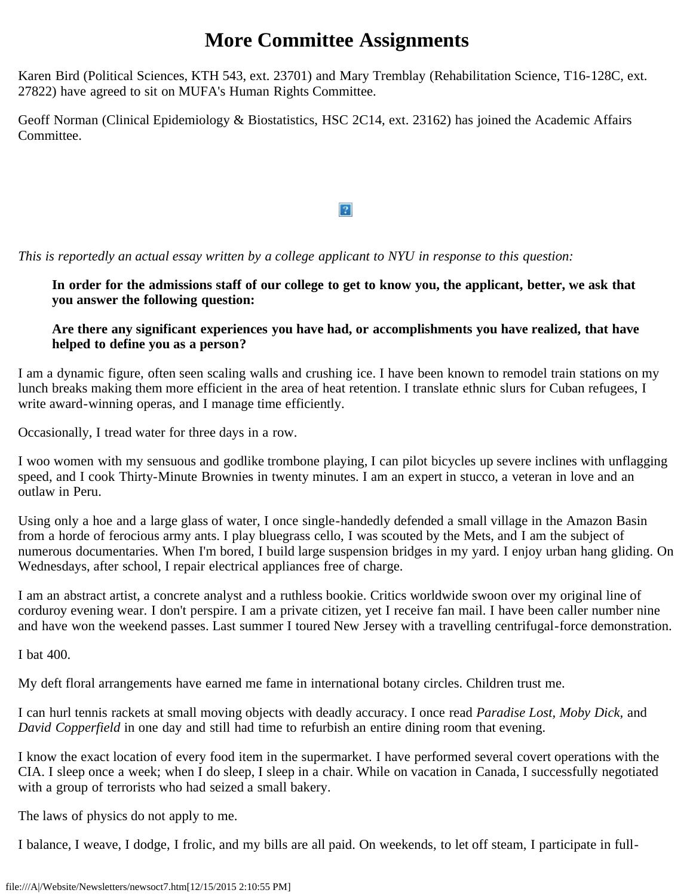# **More Committee Assignments**

Karen Bird (Political Sciences, KTH 543, ext. 23701) and Mary Tremblay (Rehabilitation Science, T16-128C, ext. 27822) have agreed to sit on MUFA's Human Rights Committee.

Geoff Norman (Clinical Epidemiology & Biostatistics, HSC 2C14, ext. 23162) has joined the Academic Affairs Committee.

 $|2|$ 

*This is reportedly an actual essay written by a college applicant to NYU in response to this question:*

**In order for the admissions staff of our college to get to know you, the applicant, better, we ask that you answer the following question:**

### **Are there any significant experiences you have had, or accomplishments you have realized, that have helped to define you as a person?**

I am a dynamic figure, often seen scaling walls and crushing ice. I have been known to remodel train stations on my lunch breaks making them more efficient in the area of heat retention. I translate ethnic slurs for Cuban refugees, I write award-winning operas, and I manage time efficiently.

Occasionally, I tread water for three days in a row.

I woo women with my sensuous and godlike trombone playing, I can pilot bicycles up severe inclines with unflagging speed, and I cook Thirty-Minute Brownies in twenty minutes. I am an expert in stucco, a veteran in love and an outlaw in Peru.

Using only a hoe and a large glass of water, I once single-handedly defended a small village in the Amazon Basin from a horde of ferocious army ants. I play bluegrass cello, I was scouted by the Mets, and I am the subject of numerous documentaries. When I'm bored, I build large suspension bridges in my yard. I enjoy urban hang gliding. On Wednesdays, after school, I repair electrical appliances free of charge.

I am an abstract artist, a concrete analyst and a ruthless bookie. Critics worldwide swoon over my original line of corduroy evening wear. I don't perspire. I am a private citizen, yet I receive fan mail. I have been caller number nine and have won the weekend passes. Last summer I toured New Jersey with a travelling centrifugal-force demonstration.

I bat 400.

My deft floral arrangements have earned me fame in international botany circles. Children trust me.

I can hurl tennis rackets at small moving objects with deadly accuracy. I once read *Paradise Lost, Moby Dick,* and *David Copperfield* in one day and still had time to refurbish an entire dining room that evening.

I know the exact location of every food item in the supermarket. I have performed several covert operations with the CIA. I sleep once a week; when I do sleep, I sleep in a chair. While on vacation in Canada, I successfully negotiated with a group of terrorists who had seized a small bakery.

The laws of physics do not apply to me.

I balance, I weave, I dodge, I frolic, and my bills are all paid. On weekends, to let off steam, I participate in full-